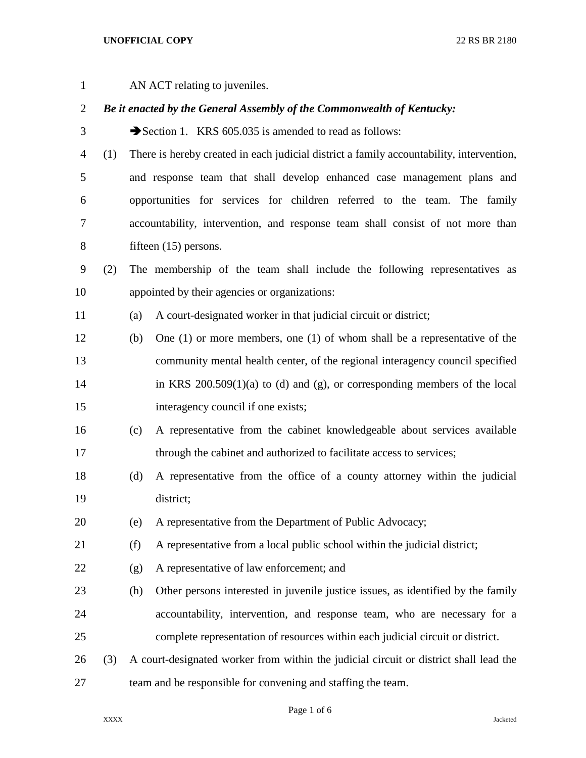| $\mathbf{1}$   |     | AN ACT relating to juveniles.                                                         |                                                                                          |  |  |  |  |  |
|----------------|-----|---------------------------------------------------------------------------------------|------------------------------------------------------------------------------------------|--|--|--|--|--|
| $\overline{2}$ |     | Be it enacted by the General Assembly of the Commonwealth of Kentucky:                |                                                                                          |  |  |  |  |  |
| 3              |     | Section 1. KRS $605.035$ is amended to read as follows:                               |                                                                                          |  |  |  |  |  |
| 4              | (1) |                                                                                       | There is hereby created in each judicial district a family accountability, intervention, |  |  |  |  |  |
| 5              |     |                                                                                       | and response team that shall develop enhanced case management plans and                  |  |  |  |  |  |
| 6              |     | opportunities for services for children referred to the team. The family              |                                                                                          |  |  |  |  |  |
| 7              |     |                                                                                       | accountability, intervention, and response team shall consist of not more than           |  |  |  |  |  |
| $8\,$          |     |                                                                                       | fifteen $(15)$ persons.                                                                  |  |  |  |  |  |
| 9              | (2) |                                                                                       | The membership of the team shall include the following representatives as                |  |  |  |  |  |
| 10             |     | appointed by their agencies or organizations:                                         |                                                                                          |  |  |  |  |  |
| 11             |     | (a)                                                                                   | A court-designated worker in that judicial circuit or district;                          |  |  |  |  |  |
| 12             |     | (b)                                                                                   | One $(1)$ or more members, one $(1)$ of whom shall be a representative of the            |  |  |  |  |  |
| 13             |     |                                                                                       | community mental health center, of the regional interagency council specified            |  |  |  |  |  |
| 14             |     |                                                                                       | in KRS $200.509(1)(a)$ to (d) and (g), or corresponding members of the local             |  |  |  |  |  |
| 15             |     |                                                                                       | interagency council if one exists;                                                       |  |  |  |  |  |
| 16             |     | (c)                                                                                   | A representative from the cabinet knowledgeable about services available                 |  |  |  |  |  |
| 17             |     |                                                                                       | through the cabinet and authorized to facilitate access to services;                     |  |  |  |  |  |
| 18             |     | (d)                                                                                   | A representative from the office of a county attorney within the judicial                |  |  |  |  |  |
| 19             |     |                                                                                       | district;                                                                                |  |  |  |  |  |
| 20             |     | (e)                                                                                   | A representative from the Department of Public Advocacy;                                 |  |  |  |  |  |
| 21             |     | (f)                                                                                   | A representative from a local public school within the judicial district;                |  |  |  |  |  |
| 22             |     | (g)                                                                                   | A representative of law enforcement; and                                                 |  |  |  |  |  |
| 23             |     | (h)                                                                                   | Other persons interested in juvenile justice issues, as identified by the family         |  |  |  |  |  |
| 24             |     |                                                                                       | accountability, intervention, and response team, who are necessary for a                 |  |  |  |  |  |
| 25             |     |                                                                                       | complete representation of resources within each judicial circuit or district.           |  |  |  |  |  |
| 26             | (3) | A court-designated worker from within the judicial circuit or district shall lead the |                                                                                          |  |  |  |  |  |
| 27             |     | team and be responsible for convening and staffing the team.                          |                                                                                          |  |  |  |  |  |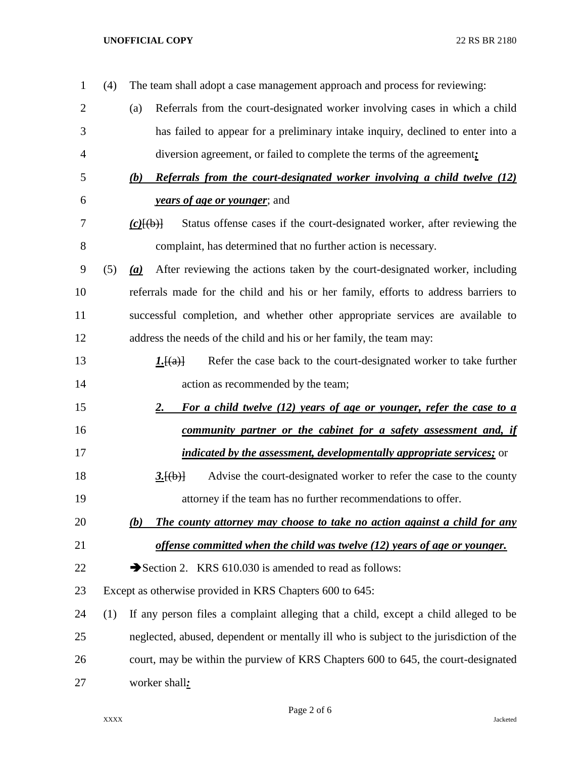## **UNOFFICIAL COPY** 22 RS BR 2180

| 1              | (4) | The team shall adopt a case management approach and process for reviewing:                     |
|----------------|-----|------------------------------------------------------------------------------------------------|
| $\overline{2}$ |     | Referrals from the court-designated worker involving cases in which a child<br>(a)             |
| 3              |     | has failed to appear for a preliminary intake inquiry, declined to enter into a                |
| 4              |     | diversion agreement, or failed to complete the terms of the agreement;                         |
| 5              |     | Referrals from the court-designated worker involving a child twelve (12)<br>(b)                |
| 6              |     | <i>years of age or younger</i> ; and                                                           |
| 7              |     | Status offense cases if the court-designated worker, after reviewing the<br>$(c)$ [(b)]        |
| 8              |     | complaint, has determined that no further action is necessary.                                 |
| 9              | (5) | After reviewing the actions taken by the court-designated worker, including<br>(a)             |
| 10             |     | referrals made for the child and his or her family, efforts to address barriers to             |
| 11             |     | successful completion, and whether other appropriate services are available to                 |
| 12             |     | address the needs of the child and his or her family, the team may:                            |
| 13             |     | Refer the case back to the court-designated worker to take further<br><u><i>I</i>.</u> $[(a)]$ |
| 14             |     | action as recommended by the team;                                                             |
| 15             |     | For a child twelve (12) years of age or younger, refer the case to a<br><u>2.</u>              |
| 16             |     | community partner or the cabinet for a safety assessment and, if                               |
| 17             |     | <i>indicated by the assessment, developmentally appropriate services;</i> or                   |
| 18             |     | Advise the court-designated worker to refer the case to the county<br>3.[(b)]                  |
| 19             |     | attorney if the team has no further recommendations to offer.                                  |
| 20             |     | The county attorney may choose to take no action against a child for any<br>(b)                |
| 21             |     | offense committed when the child was twelve (12) years of age or younger.                      |
| 22             |     | Section 2. KRS 610.030 is amended to read as follows:                                          |
| 23             |     | Except as otherwise provided in KRS Chapters 600 to 645:                                       |
| 24             | (1) | If any person files a complaint alleging that a child, except a child alleged to be            |
| 25             |     | neglected, abused, dependent or mentally ill who is subject to the jurisdiction of the         |
| 26             |     | court, may be within the purview of KRS Chapters 600 to 645, the court-designated              |
| 27             |     | worker shall:                                                                                  |
|                |     |                                                                                                |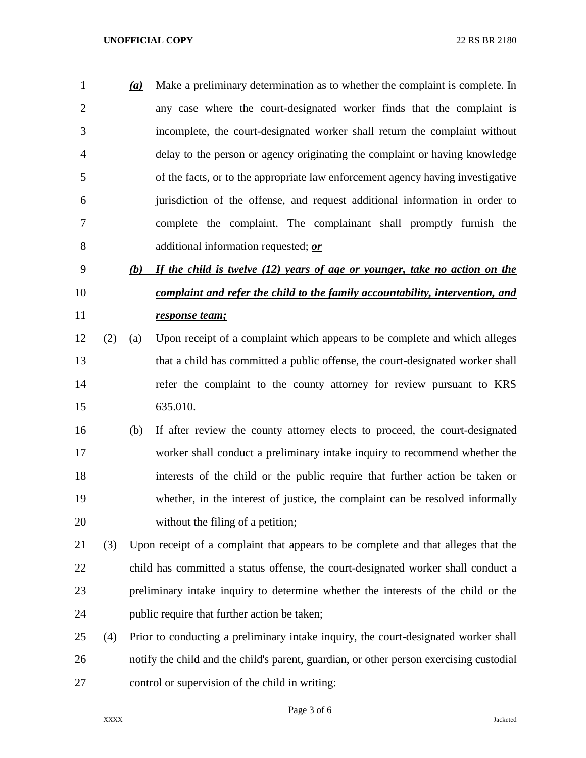## **UNOFFICIAL COPY** 22 RS BR 2180

 *(a)* Make a preliminary determination as to whether the complaint is complete. In any case where the court-designated worker finds that the complaint is incomplete, the court-designated worker shall return the complaint without delay to the person or agency originating the complaint or having knowledge of the facts, or to the appropriate law enforcement agency having investigative jurisdiction of the offense, and request additional information in order to complete the complaint. The complainant shall promptly furnish the additional information requested; *or*

## *(b) If the child is twelve (12) years of age or younger, take no action on the complaint and refer the child to the family accountability, intervention, and response team;*

- (2) (a) Upon receipt of a complaint which appears to be complete and which alleges that a child has committed a public offense, the court-designated worker shall refer the complaint to the county attorney for review pursuant to KRS 635.010.
- (b) If after review the county attorney elects to proceed, the court-designated worker shall conduct a preliminary intake inquiry to recommend whether the interests of the child or the public require that further action be taken or whether, in the interest of justice, the complaint can be resolved informally 20 without the filing of a petition;
- (3) Upon receipt of a complaint that appears to be complete and that alleges that the child has committed a status offense, the court-designated worker shall conduct a preliminary intake inquiry to determine whether the interests of the child or the public require that further action be taken;
- (4) Prior to conducting a preliminary intake inquiry, the court-designated worker shall notify the child and the child's parent, guardian, or other person exercising custodial control or supervision of the child in writing:

Page 3 of 6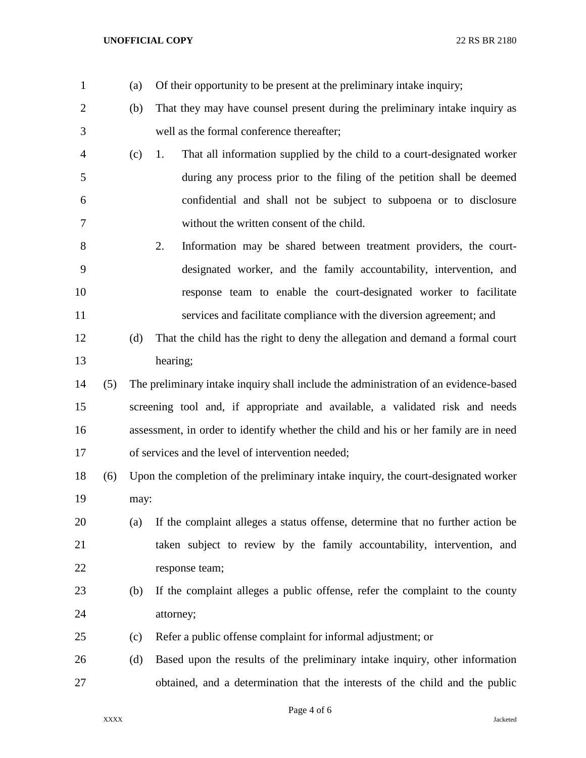- (a) Of their opportunity to be present at the preliminary intake inquiry;
- (b) That they may have counsel present during the preliminary intake inquiry as well as the formal conference thereafter;
- (c) 1. That all information supplied by the child to a court-designated worker during any process prior to the filing of the petition shall be deemed confidential and shall not be subject to subpoena or to disclosure without the written consent of the child.
- 2. Information may be shared between treatment providers, the court- designated worker, and the family accountability, intervention, and response team to enable the court-designated worker to facilitate 11 services and facilitate compliance with the diversion agreement; and
- (d) That the child has the right to deny the allegation and demand a formal court hearing;
- (5) The preliminary intake inquiry shall include the administration of an evidence-based screening tool and, if appropriate and available, a validated risk and needs assessment, in order to identify whether the child and his or her family are in need of services and the level of intervention needed;
- (6) Upon the completion of the preliminary intake inquiry, the court-designated worker may:
- (a) If the complaint alleges a status offense, determine that no further action be taken subject to review by the family accountability, intervention, and response team;
- (b) If the complaint alleges a public offense, refer the complaint to the county attorney;
- (c) Refer a public offense complaint for informal adjustment; or
- (d) Based upon the results of the preliminary intake inquiry, other information obtained, and a determination that the interests of the child and the public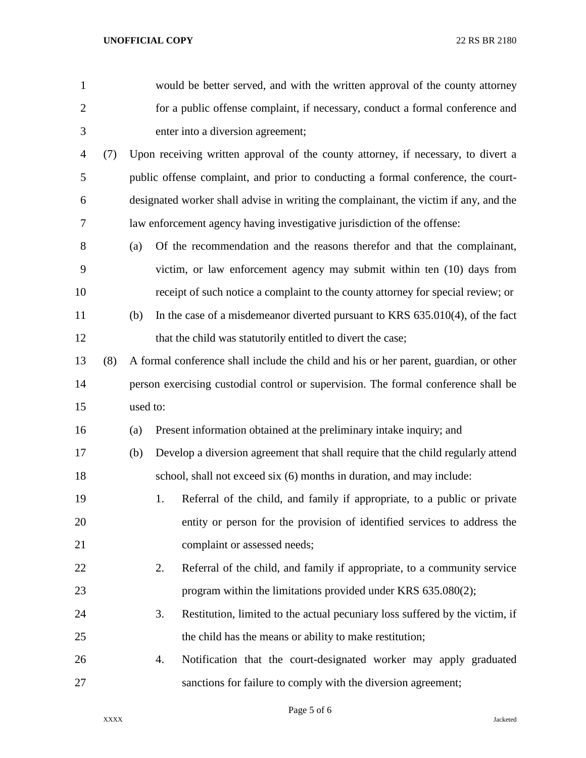| $\mathbf{1}$   |     |                                                                                       |                                                                                       | would be better served, and with the written approval of the county attorney       |  |  |  |  |  |  |
|----------------|-----|---------------------------------------------------------------------------------------|---------------------------------------------------------------------------------------|------------------------------------------------------------------------------------|--|--|--|--|--|--|
| $\overline{2}$ |     |                                                                                       |                                                                                       | for a public offense complaint, if necessary, conduct a formal conference and      |  |  |  |  |  |  |
| 3              |     | enter into a diversion agreement;                                                     |                                                                                       |                                                                                    |  |  |  |  |  |  |
| 4              | (7) |                                                                                       | Upon receiving written approval of the county attorney, if necessary, to divert a     |                                                                                    |  |  |  |  |  |  |
| 5              |     |                                                                                       | public offense complaint, and prior to conducting a formal conference, the court-     |                                                                                    |  |  |  |  |  |  |
| 6              |     | designated worker shall advise in writing the complainant, the victim if any, and the |                                                                                       |                                                                                    |  |  |  |  |  |  |
| 7              |     |                                                                                       | law enforcement agency having investigative jurisdiction of the offense:              |                                                                                    |  |  |  |  |  |  |
| 8              |     | (a)                                                                                   |                                                                                       | Of the recommendation and the reasons therefor and that the complainant,           |  |  |  |  |  |  |
| 9              |     |                                                                                       |                                                                                       | victim, or law enforcement agency may submit within ten (10) days from             |  |  |  |  |  |  |
| 10             |     |                                                                                       |                                                                                       | receipt of such notice a complaint to the county attorney for special review; or   |  |  |  |  |  |  |
| 11             |     | (b)                                                                                   |                                                                                       | In the case of a misdemeanor diverted pursuant to KRS $635.010(4)$ , of the fact   |  |  |  |  |  |  |
| 12             |     |                                                                                       |                                                                                       | that the child was statutorily entitled to divert the case;                        |  |  |  |  |  |  |
| 13             | (8) |                                                                                       | A formal conference shall include the child and his or her parent, guardian, or other |                                                                                    |  |  |  |  |  |  |
| 14             |     |                                                                                       |                                                                                       | person exercising custodial control or supervision. The formal conference shall be |  |  |  |  |  |  |
| 15             |     | used to:                                                                              |                                                                                       |                                                                                    |  |  |  |  |  |  |
| 16             |     | (a)                                                                                   |                                                                                       | Present information obtained at the preliminary intake inquiry; and                |  |  |  |  |  |  |
| 17             |     | (b)                                                                                   |                                                                                       | Develop a diversion agreement that shall require that the child regularly attend   |  |  |  |  |  |  |
| 18             |     |                                                                                       |                                                                                       | school, shall not exceed six (6) months in duration, and may include:              |  |  |  |  |  |  |
| 19             |     |                                                                                       | 1.                                                                                    | Referral of the child, and family if appropriate, to a public or private           |  |  |  |  |  |  |
| 20             |     |                                                                                       |                                                                                       | entity or person for the provision of identified services to address the           |  |  |  |  |  |  |
| 21             |     |                                                                                       |                                                                                       | complaint or assessed needs;                                                       |  |  |  |  |  |  |
| 22             |     |                                                                                       | 2.                                                                                    | Referral of the child, and family if appropriate, to a community service           |  |  |  |  |  |  |
| 23             |     |                                                                                       |                                                                                       | program within the limitations provided under KRS 635.080(2);                      |  |  |  |  |  |  |
| 24             |     |                                                                                       | 3.                                                                                    | Restitution, limited to the actual pecuniary loss suffered by the victim, if       |  |  |  |  |  |  |
| 25             |     |                                                                                       |                                                                                       | the child has the means or ability to make restitution;                            |  |  |  |  |  |  |
| 26             |     |                                                                                       | 4.                                                                                    | Notification that the court-designated worker may apply graduated                  |  |  |  |  |  |  |
| 27             |     |                                                                                       |                                                                                       | sanctions for failure to comply with the diversion agreement;                      |  |  |  |  |  |  |

Page 5 of 6